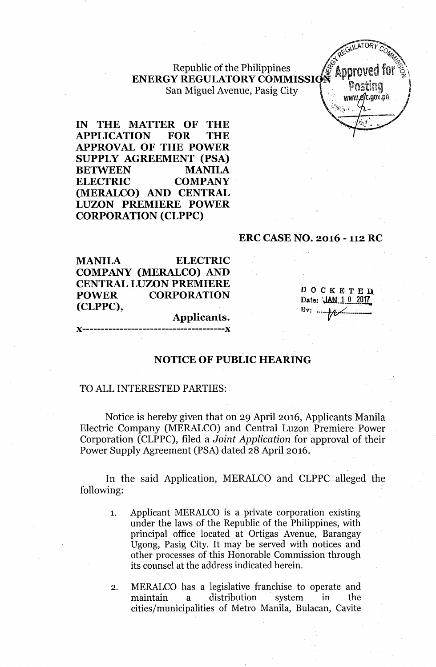Republic of the Philippines ENERGY REGULATORY COMMISSI San Miguel Avenue, Pasig City

CULATORY  $www. e/c.gov. ph$ 

IN THE MATTER OF THE APPLICATION FOR THE APPROVAL OF THE POWER SUPPLY AGREEMENT (PSA) BETWEEN MANILA ELECTRIC COMPANY (MERALCO) AND CENTRAL LUZON PREMIERE POWER CORPORATION (CLPPC)

## ERC CASE NO. 2016 - 112RC

MANILA ELECTRIC COMPANY (MERALCO) AND CENTRAL LUZON PREMIERE POWER CORPORATION (CLPPC),

)(--------------------------------------x

DOCKETED' Date: *JAN.1.0.2017* Bv: ....\_.~-\_- .••---

# NOTICE OF PUBLIC HEARING

Applicants.

---------------V

## TO ALL INTERESTED PARTIES:

Notice is hereby given that on 29 April 2016, Applicants Manila Electric Company (MERALCO) and Central Luzon Premiere Power Corporation (CLPPC), filed a *Joint Application* for approval of their Power Supply Agreement (PSA) dated 28 April 2016.

In the said Application, MERALCO and CLPPC alleged the following:

- 1. Applicant MERALCO is a private corporation existing under the laws of the Republic of the Philippines, with principal office located at Ortigas Avenue, Barangay Ugong, Pasig City. It may be served with notices and other processes of this Honorable Commission through its counsel at the address indicated herein.
- 2. MERALCO has a legislative franchise to operate and maintain a distribution system in the cities/municipalities of Metro Manila, Bulacan, Cavite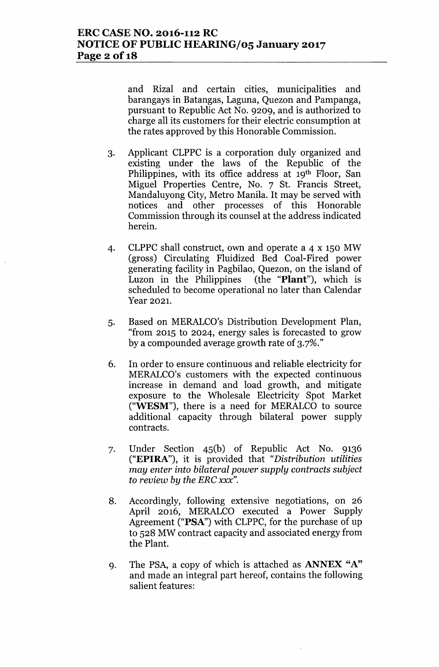and Rizal and certain cities, municipalities and barangays in Batangas, Laguna, Quezon and Pampanga, pursuant to Republic Act No. 9209, and is authorized to charge all its customers for their electric consumption at the rates approved by this Honorable Commission.

- 3. Applicant CLPPC is a corporation duly organized and existing under the laws of the Republic of the Philippines, with its office address at 19th Floor, San Miguel Properties Centre, No. 7 St. Francis Street, Mandaluyong City, Metro Manila. It may be served with notices and other processes of this Honorable Commission through its counsel at the address indicated herein.
- 4. CLPPC shall construct, own and operate a 4 x 150 MW (gross) Circulating Fluidized Bed Coal-Fired power generating facility in Pagbilao, Quezon, on the island of Luzon in the Philippines (the "Plant"), which is scheduled to become operational no later than Calendar Year 2021.
- 5. Based on MERALCO's Distribution Development Plan, "from 2015 to 2024, energy sales is forecasted to grow by a compounded average growth rate of 3.7%."
- 6. In order to ensure continuous and reliable electricity for MERALCO's customers with the expected continuous increase in demand and load growth, and mitigate exposure to the Wholesale Electricity Spot Market ("WESM"), there is a need for MERALCO to source additional capacity through bilateral power supply contracts.
- 7. Under Section 45(b) of Republic Act No. 9136 ("EPIRA"), it is provided that *"Distribution utilities may enter into bilateral power supply contracts subject to review by the ERC xxx".*
- 8. Accordingly, following extensive negotiations, on 26 April 2016, MERALCO executed a Power Supply Agreement ("PSA") with CLPPC, for the purchase of up to 528 MW contract capacity and associated energy from the Plant.
- 9. The PSA, a copy of which is attached as **ANNEX** "A" and made an integral part hereof, contains the following salient features: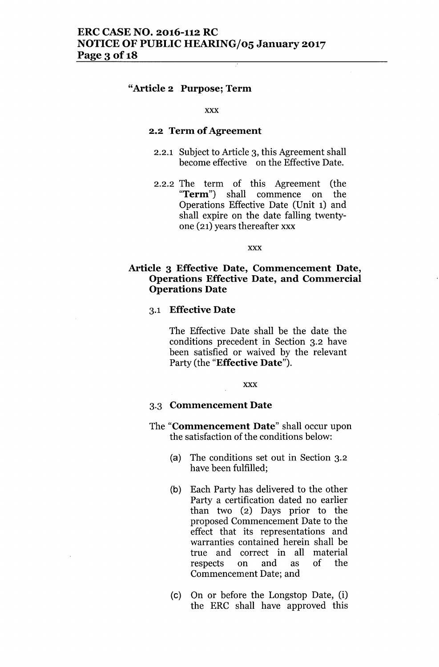## "Article 2 Purpose; Term

### xxx

## 2.2 Term of Agreement

- 2.2.1 Subject to Article 3, this Agreement shall become effective on the Effective Date.
- 2.2.2 The term of this Agreement (the "Term") shall commence on the Operations Effective Date (Unit 1) and shall expire on the date falling twentyone (21) years thereafter xxx

xxx

## Article 3 Effective Date, Commencement Date, Operations Effective Date, and Commercial Operations Date

### 3.1 Effective Date

The Effective Date shall be the date the conditions precedent in Section 3.2 have been satisfied or waived by the relevant Party (the "Effective Date").

xxx

#### 3.3 Commencement Date

- The "Commencement Date" shall occur upon the satisfaction of the conditions below:
	- (a) The conditions set out in Section 3.2 have been fulfilled;
	- (b) Each Party has delivered to the other Party a certification dated no earlier than two (2) Days prior to the proposed Commencement Date to the effect that its representations and warranties contained herein shall be true and correct in all material respects on and as of the Commencement Date; and
	- (c) On or before the Longstop Date, (i) the ERC shall have approved this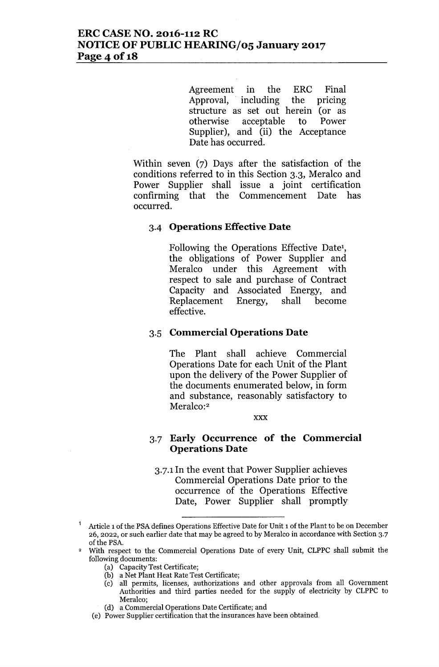Agreement in the ERC Final Approval, including the pricing structure as set out herein (or as otherwise acceptable to Power Supplier), and (ii) the Acceptance Date has occurred.

Within seven (7) Days after the satisfaction of the conditions referred to in this Section 3.3, Meralco and Power Supplier shall issue a joint certification confirming that the Commencement Date has occurred.

### 3-4 **Operations Effective Date**

Following the Operations Effective Date!, the obligations of Power Supplier and Meralco under this Agreement with respect to sale and purchase of Contract Capacity and Associated Energy, and Replacement Energy, shall become effective.

## 3.5 **Commercial Operations Date**

The Plant shall achieve Commercial Operations Date for each Unit of the Plant upon the delivery of the Power Supplier of the documents enumerated below, in form and substance, reasonably satisfactory to Meralco:<sup>2</sup>

#### xxx

## 3.7 **Early Occurrence of the Commercial Operations Date**

3.7.1 In the event that Power Supplier achieves Commercial Operations Date prior to the occurrence of the Operations Effective Date, Power Supplier shall promptly

- (a) Capacity Test Certificate;
- (b) a Net Plant Heat Rate Test Certificate;
- (c) all permits, licenses, authorizations and other approvals from all Government Authorities and third parties needed for the supply of electricity by CLPPC to Meralco;
- (d) a Commercial Operations Date Certificate; and
- (e) Power Supplier certification that the insurances have been obtained.

Article 1of the PSA defines Operations Effective Date for Unit 1of the Plant to be on December 26, 2022, or such earlier date that may be agreed to by Meralco in accordance with Section 3.7 of the PSA.

<sup>2</sup> With respect to the Commercial Operations Date of every Unit, CLPPC shall submit the following documents: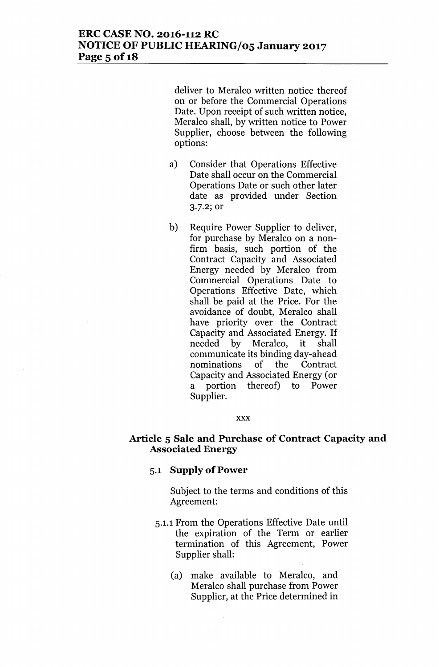deliver to Meralco written notice thereof on or before the Commercial Operations Date. Upon receipt of such written notice, Meralco shall, by written notice to Power Supplier, choose between the following options:

- a) Consider that Operations Effective Date shall occur on the Commercial Operations Date or such other later date as provided under Section 3.7.2; or
- b) Require Power Supplier to deliver, for purchase by Meralco on a nonfirm basis, such portion of the Contract Capacity and Associated Energy needed by Meralco from Commercial Operations Date to Operations Effective Date, which shall be paid at the Price. For the avoidance of doubt, Meralco shall have priority over the Contract Capacity and Associated Energy. If needed by Meralco, it shall communicate its binding day-ahead nominations of the Contract Capacity and Associated Energy (or a portion thereof) to Power Supplier.

#### xxx

## **Article 5 Sale and Purchase of Contract Capacity and Associated Energy**

## 5.1 **Supply of Power**

Subject to the terms and conditions of this Agreement:

- 5.1.1 From the Operations Effective Date until the expiration of the Term or earlier termination of this Agreement, Power Supplier shall:
	- (a) make available to Meralco, and Meralco shall purchase from Power Supplier, at the Price determined in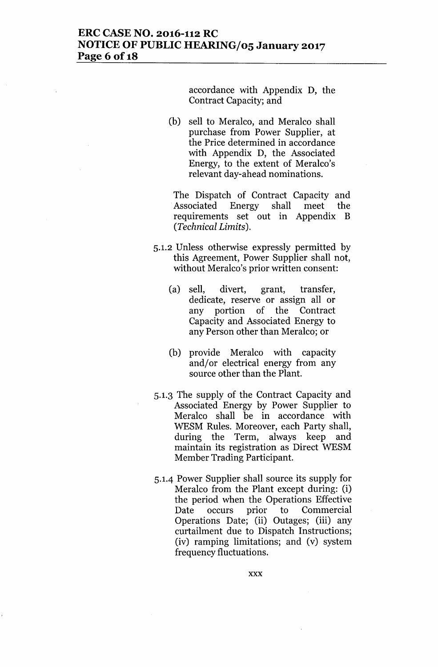## **ERC CASE NO. 2016-112 RC NOTICE OF PUBLIC HEARING/05 January 2017 Page 6of18**

accordance with Appendix D, the Contract Capacity; and

(b) sell to Meralco, and Meralco shall purchase from Power Supplier, at the Price determined in accordance with Appendix D, the Associated Energy, to the extent of Meralco's relevant day-ahead nominations.

The Dispatch of Contract Capacity and Associated Energy shall meet the requirements set out in Appendix B *(Technical Limits).*

- 5.1.2 Unless otherwise expressly permitted by this Agreement, Power Supplier shall not, without Meralco's prior written consent:
	- (a) sell, divert, grant, transfer, dedicate, reserve or assign all or any portion of the Contract Capacity and Associated Energy to any Person other than Meralco; or
	- (b) provide Meralco with capacity and/or electrical energy from any source other than the Plant.
- 5.1.3 The supply of the Contract Capacity and Associated Energy by Power Supplier to Meralco shall be in accordance with WESM Rules. Moreover, each Party shall, during the Term, always keep and maintain its registration as Direct WESM Member Trading Participant.
- 5.1.4 Power Supplier shall source its supply for Meralco from the Plant except during: (i) the period when the Operations Effective Date occurs prior to Commercial Operations Date; (ii) Outages; (iii) any curtailment due to Dispatch Instructions; (iv) ramping limitations; and (v) system frequency fluctuations.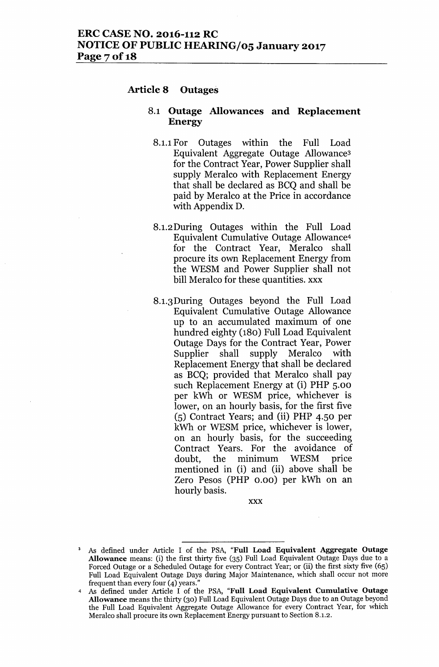## **Article 8 Outages**

## 8.1 **Outage Allowances and Replacement Energy**

- 8.1.1 For Outages within the Full Load Equivalent Aggregate Outage Allowance3 for the Contract Year, Power Supplier shall supply Meralco with Replacement Energy that shall be declared as BCQ and shall be paid by Meralco at the Price in accordance with Appendix D.
- 8.1.2During Outages within the Full Load Equivalent Cumulative Outage Allowance<sup>4</sup> for the Contract Year, Meralco shall procure its own Replacement Energy from the WESM and Power Supplier shall not bill Meralco for these quantities. xxx
- 8.1.3During Outages beyond the Full Load Equivalent Cumulative Outage Allowance up to an accumulated maximum of one hundred eighty (180) Full Load Equivalent Outage Days for the Contract Year, Power Supplier shall supply Meralco with Replacement Energy that shall be declared as BCQ; provided that Meralco shall pay such Replacement Energy at (i) PHP 5.00 per kWh or WESM price, whichever is lower, on an hourly basis, for the first five (5) Contract Years; and (ii) PHP 4.50 per kWh or WESM price, whichever is lower, on an hourly basis, for the succeeding Contract Years. For the avoidance of doubt, the minimum WESM price mentioned in (i) and (ii) above shall be Zero Pesos (PHP 0.00) per kWh on an hourly basis.

xxx

<sup>3</sup> *As* defined under Article I of the PSA, "Full Load Equivalent Aggregate Outage Allowance means: (i) the first thirty five (35) Full Load Equivalent Outage Days due to a Forced Outage or a Scheduled Outage for every Contract Year; or (ii) the first sixty five (65) Full Load Equivalent Outage Days during Major Maintenance, which shall occur not more frequent than every four  $(4)$  years.

*<sup>4</sup> As* defined under Article I of the PSA, "Full Load Equivalent Cumulative Outage Allowance means the thirty (30) Full Load Equivalent Outage Days due to an Outage beyond the Full Load Equivalent Aggregate Outage Allowance for every Contract Year, for which Meralco shall procure its own Replacement Energy pursuant to Section 8.1.2.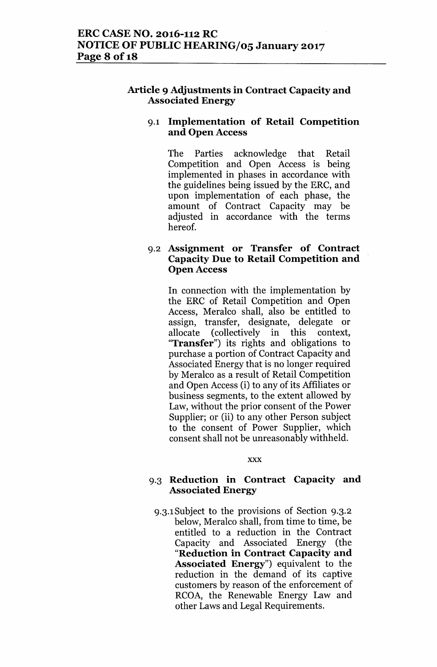## Article 9 Adjustments in Contract Capacity and Associated Energy

## 9.1 Implementation of Retail Competition and Open Access

The Parties acknowledge that Retail Competition and Open Access is being implemented in phases in accordance with the guidelines being issued by the ERC, and upon implementation of each phase, the amount of Contract Capacity may be adjusted in accordance with the terms hereof.

## 9.2 Assignment or Transfer of Contract Capacity Due to Retail Competition and Open Access

In connection with the implementation by the ERC of Retail Competition and Open Access, Meralco shall, also be entitled to assign, transfer, designate, delegate or allocate (collectively in this context, "Transfer") its rights and obligations to purchase a portion of Contract Capacity and Associated Energy that is no longer required by Meralco as a result of Retail Competition and Open Access (i) to any of its Affiliates or business segments, to the extent allowed by Law, without the prior consent of the Power Supplier; or (ii) to any other Person subject to the consent of Power Supplier, which consent shall not be unreasonably withheld.

xxx

## 9.3 Reduction in Contract Capacity and Associated Energy

9.3.1Subject to the provisions of Section 9.3.2 below, Meralco shall, from time to time, be entitled to a reduction in the Contract Capacity and Associated Energy (the "Reduction in Contract Capacity and Associated Energy") equivalent to the reduction in the demand of its captive customers by reason of the enforcement of RCOA, the Renewable Energy Law and other Laws and Legal Requirements.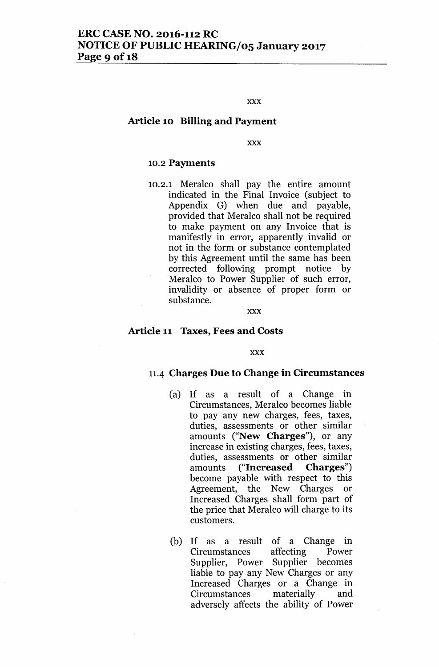#### xxx

## Article 10 Billing and Payment

xxx

### 10.2 Payments

10.2.1 Meralco shall pay the entire amount indicated in the Final Invoice (subject to Appendix G) when due and payable, provided that Meralco shall not be required to make paYment on any Invoice that is manifestly in error, apparently invalid or not in the form or substance contemplated by this Agreement until the same has been corrected following prompt notice by Meralco to Power Supplier of such error, invalidity or absence of proper form or substance.

#### xxx

#### Article 11 Taxes, Fees and Costs

#### xxx

### 11.4 Charges Due to Change in Circumstances

- (a) If as a result of a Change in Circumstances, Meralco becomes liable to pay any new charges, fees, taxes, duties, assessments or other similar amounts ("New Charges"), or any increase in existing charges, fees, taxes, duties, assessments or other similar amounts ("Increased Charges") become payable with respect to this Agreement, the New Charges or Increased Charges shall form part of the price that Meralco will charge to its customers.
- (b) If as a result of a Change in Circumstances affecting Power Supplier, Power Supplier becomes liable to pay any New Charges or any Increased Charges or a Change in Circumstances materially and adversely affects the ability of Power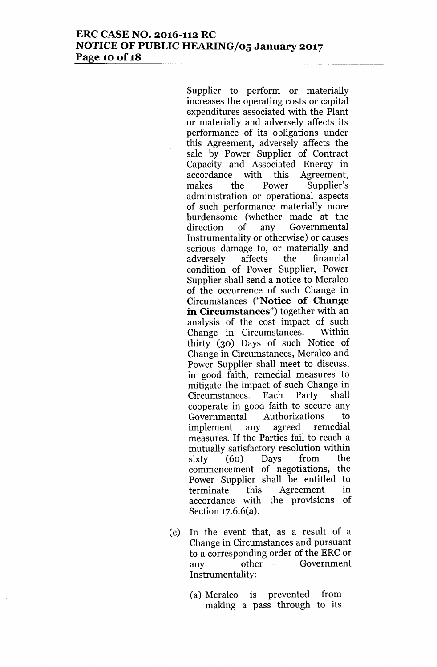Supplier to perform or materially increases the operating costs or capital expenditures associated with the Plant or materially and adversely affects its performance of its obligations under this Agreement, adversely affects the sale by Power Supplier of Contract Capacity and Associated Energy in accordance with this Agreement, makes the Power Supplier's administration or operational aspects of such performance materially more burdensome (whether made at the direction of any Governmental Instrumentality or otherwise) or causes serious damage to, or materially and adversely affects the financial condition of Power Supplier, Power Supplier shall send a notice to Meralco of the occurrence of such Change in Circumstances ("N**otice of Change in Circumstances")** together with an analysis of the cost impact of such Change in Circumstances. Within thirty (30) Days of such Notice of Change in Circumstances, Meralco and Power Supplier shall meet to discuss, in good faith, remedial measures to mitigate the impact of such Change in Circumstances. Each Party shall cooperate in good faith to secure any Governmental Authorizations to implement any agreed remedial measures. If the Parties fail to reach a mutually satisfactory resolution within sixty (60) Days from the commencement of negotiations, the Power Supplier shall be entitled to terminate this Agreement in accordance with the provisions of Section 17.6.6(a).

- (c) In the event that, as a result of a Change in Circumstances and pursuant to a corresponding order of the ERC or any other Government Instrumentality:
	- (a) Meralco is prevented from making a pass through to its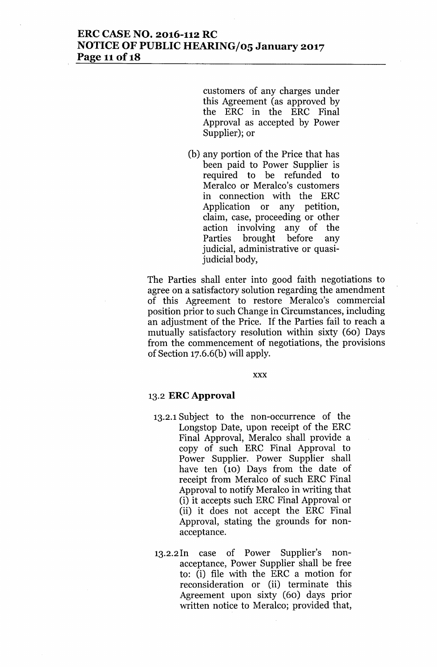## **ERC CASE NO. 2016-112 RC NOTICE OF PUBLIC HEARING/oS January 2017 Page 11 of 18**

customers of any charges under this Agreement (as approved by the ERC in the ERC Final Approval as accepted by Power Supplier); or

(b) any portion of the Price that has been paid to Power Supplier is required to be refunded to Meralco or Meralco's customers in connection with the ERC Application or any petition, claim, case, proceeding or other action involving any of the Parties brought before any judicial, administrative or quasijudicial body,

The Parties shall enter into good faith negotiations to agree on a satisfactory solution regarding the amendment of this Agreement to restore Meralco's commercial position prior to such Change in Circumstances, including an adjustment of the Price. If the Parties fail to reach a mutually satisfactory resolution within sixty (60) Days from the commencement of negotiations, the provisions of Section 17.6.6(b) will apply.

xxx

### 13.2 **ERe Approval**

- 13.2.1Subject to the non-occurrence of the Longstop Date, upon receipt of the ERC Final Approval, Meralco shall provide a copy of such ERC Final Approval to Power Supplier. Power Supplier shall have ten (10) Days from the date of receipt from Meralco of such ERC Final Approval to notify Meralco in writing that (i) it accepts such ERC Final Approval or (ii) it does not accept the ERC Final Approval, stating the grounds for nonacceptance.
- 13.2.2In case of Power Supplier's nonacceptance, Power Supplier shall be free to: (i) file with the ERC a motion for reconsideration or (ii) terminate this Agreement upon sixty (60) days prior written notice to Meralco; provided that,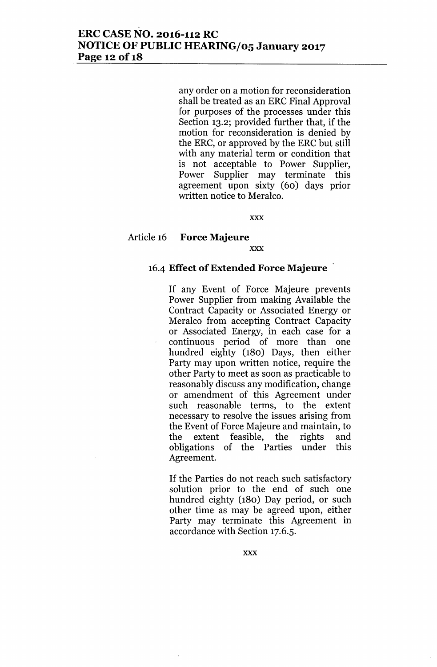any order on a motion for reconsideration shall be treated as an ERC Final Approval for purposes of the processes under this Section 13.2; provided further that, if the motion for reconsideration is denied by the ERC, or approved by the ERC but still with any material term or condition that is not acceptable to Power Supplier, Power Supplier may terminate this agreement upon sixty (60) days prior written notice to Meralco.

xxx

## Article 16 **Force Majeure**

xxx

## 16-4 **Effect of Extended Force Majeure**

If any Event of Force Majeure prevents Power Supplier from making Available the Contract Capacity or Associated Energy or Meralco from accepting Contract Capacity or Associated Energy, in each case for a continuous period of more than one hundred eighty (180) Days, then either Party may upon written notice, require the other Party to meet as soon as practicable to reasonably discuss any modification, change or amendment of this Agreement under such reasonable terms, to the extent necessary to resolve the issues arising from the Event of Force Majeure and maintain, to the extent feasible, the rights and obligations of the Parties under this Agreement.

If the Parties do not reach such satisfactory solution prior to the end of such one hundred eighty (180) Day period, or such other time as may be agreed upon, either Party may terminate this Agreement in accordance with Section 17.6.5.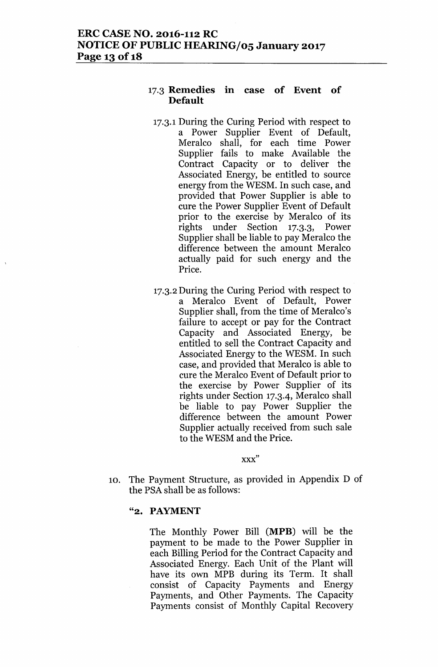## 17.3 Remedies in case of Event of Default

- 17.3.1During the Curing Period with respect to a Power Supplier Event of Default, Meralco shall, for each time Power Supplier fails to make Available the Contract Capacity or to deliver the Associated Energy, be entitled to source energy from the WESM. In such case, and provided that Power Supplier is able to cure the Power Supplier Event of Default prior to the exercise by Meralco of its rights under Section 17.3.3, Power Supplier shall be liable to pay Meralco the difference between the amount Meralco actually paid for such energy and the Price.
- 17.3.2During the Curing Period with respect to a Meralco Event of Default, Power Supplier shall, from the time of Meralco's failure to accept or pay for the Contract Capacity and Associated Energy, be entitled to sell the Contract Capacity and Associated Energy to the WESM. In such case, and provided that Meralco is able to cure the Meralco Event of Default prior to the exercise by Power Supplier of its rights under Section 17.3.4, Meralco shall be liable to pay Power Supplier the difference between the amount Power Supplier actually received from such sale to the WESM and the Price.

xxx"

10. The Payment Structure, as provided in Appendix D of the PSA shall be as follows:

### "2. PAYMENT

The Monthly Power Bill (MPB) will be the payment to be made to the Power Supplier in each Billing Period for the Contract Capacity and Associated Energy. Each Unit of the Plant will have its own MPB during its Term. It shall consist of Capacity Payments and Energy Payments, and Other Payments. The Capacity Payments consist of Monthly Capital Recovery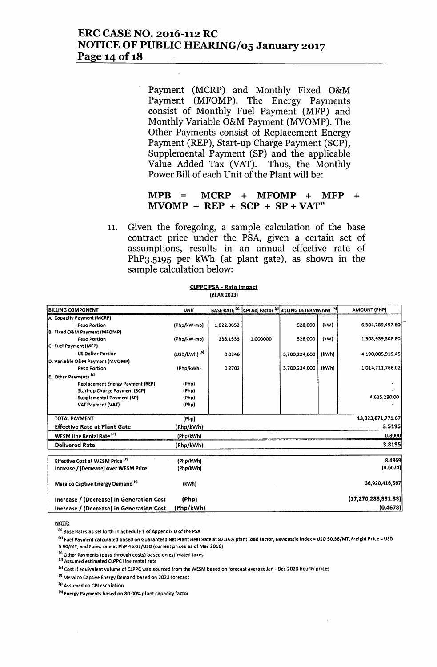## **ERC CASE NO. 2016-112 RC NOTICE OF PUBLIC HEARING/05 January 2017 Page 14** of **18**

Payment (MCRP) and Monthly Fixed O&M Payment (MFOMP). The Energy Payments consist of Monthly Fuel Payment (MFP) and Monthly Variable O&M Payment (MVOMP). The Other Payments consist of Replacement Energy Payment (REP), Start-up Charge Payment (SCP), Supplemental Payment (SP) and the applicable Value Added Tax (VAT). Thus, the Monthly Power Bill of each Unit of the Plant will be:

## **MPB = MCRP + MFOMP + MFP +**  $MVOMP + REP + SCP + SP + VAT"$

11. Given the foregoing, a sample calculation of the base contract price under the PSA, given a certain set of assumptions, results in an annual effective rate of PhP3.5195 per kWh (at plant gate), as shown in the sample calculation below:

| <b>BILLING COMPONENT</b>                    | <b>UNIT</b>              | <b>BASE RATE<sup>[4]</sup></b> |          | CPI Adj Factor [6] BILLING DETERMINANT [N] |       | <b>AMOUNT (PHP)</b>    |
|---------------------------------------------|--------------------------|--------------------------------|----------|--------------------------------------------|-------|------------------------|
| A. Capacity Payment (MCRP)                  |                          |                                |          |                                            |       |                        |
| Peso Portion                                | (Php/kW-mo)              | 1,022.8652                     |          | 528,000                                    | (kW)  | 6,304,789,497.60       |
| B. Fixed O&M Payment (MFOMP)                |                          |                                |          |                                            |       |                        |
| Peso Portion                                | (Php/kW-mo)              | 238.1533                       | 1.000000 | 528,000                                    | (kW)  | 1,508,939,308.80       |
| C. Fuel Payment (MFP)                       |                          |                                |          |                                            |       |                        |
| <b>US Dollar Portion</b>                    | (USD/kWh) <sup>[b]</sup> | 0.0246                         |          | 3,700,224,000                              | (kWh) | 4.190.005,919.45       |
| D. Variable O&M Payment (MVOMP)             |                          |                                |          |                                            |       |                        |
| Peso Portion                                | (Php/kWh)                | 0.2702                         |          | 3,700,224,000                              | (kWh) | 1,014,711,766.02       |
| E. Other Payments <sup>[4]</sup>            |                          |                                |          |                                            |       |                        |
| <b>Replacement Energy Payment (REP)</b>     | (Php)                    |                                |          |                                            |       |                        |
| Start-up Charge Payment (SCP)               | (Php)                    |                                |          |                                            |       |                        |
| Supplemental Payment (SP)                   | (Php)                    |                                |          |                                            |       | 4,625,280.00           |
| VAT Payment (VAT)                           | (Php)                    |                                |          |                                            |       |                        |
| <b>TOTAL PAYMENT</b>                        | (Php)                    |                                |          |                                            |       | 13,023,071,771.87      |
| <b>Effective Rate at Plant Gate</b>         | (Php/kWh)                |                                |          |                                            |       | 3.5195                 |
| WESM Line Rental Rate <sup>[4]</sup>        | (Php/kWh)                |                                |          |                                            |       | 0.3000                 |
| <b>Delivered Rate</b>                       | (Php/kWh)                |                                |          |                                            |       | 3.8195                 |
| Effective Cost at WESM Price <sup>tel</sup> | (Php/kWh)                |                                |          |                                            |       | 8.4869                 |
| Increase / (Decrease) over WESM Price       | (Php/kWh)                |                                |          |                                            |       | (4.6674)               |
| Meralco Captive Energy Demand <sup>10</sup> | (kWh)                    |                                |          |                                            |       | 36,920,416,567         |
| Increase / (Decrease) in Generation Cost    | (Php)                    |                                |          |                                            |       | (17, 270, 286, 391.33) |
| Increase / (Decrease) in Generation Cost    | (Php/kWh)                |                                |          |                                            |       | (0.4678)               |

#### ClPPCPSA • Rate Impact (YEAR 2023)

NOTE:

(.1 Base Rates as *set* forth In Schedule 1 of Appendix 0 of the PSA

l1i1 fuel Payment calculated based on Guaranteed *Net* Plant Heat Rate at 87.16% plant load factor, Newcastle index = USC SO,38/MT, freight Price = USC S.90/MT, and Forex rate at PhP 46.07/USD (current prices as of Mar 2016)

<sup>16)</sup> Other Payments (pass through costs) based on estimated taxes

Id] Assumed estimated CLPPC,line rental rate

I.) Cost ifequlvalent volume of ClPPCwas sourced from the WESM based on forecast average Jan - *Dec* 2023 hourly prices

II) Meralco Captive Energy Demand based on 2023 forecast

<sup>141</sup> Assumed no CPI escalation

IhI Energy Payments based on 80.00% plant capacity factor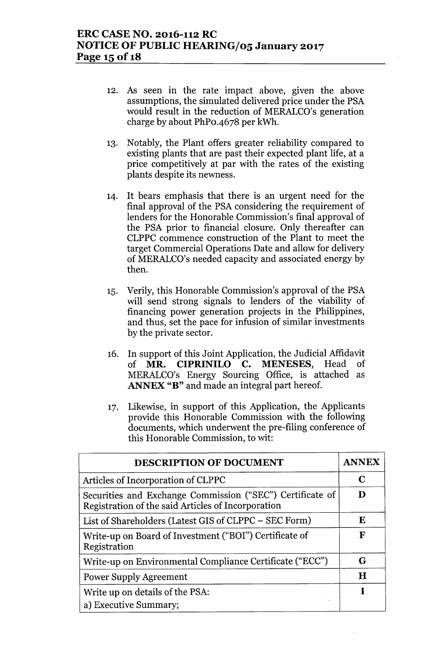- 12. As seen in the rate impact above, given the above assumptions, the simulated delivered price under the PSA would result in the reduction of MERALCO's generation charge by about PhPo-4678 per kWh.
- 13. Notably, the Plant offers greater reliability compared to existing plants that are past their expected plant life, at a price competitively at par with the rates of the existing plants despite its newness.
- 14. It bears emphasis that there is an urgent need for the final approval of the PSA considering the requirement of lenders for the Honorable Commission's final approval of the PSA prior to financial closure. Only thereafter can CLPPC commence construction of the Plant to meet the target Commercial Operations Date and allow for delivery of MERALCO's needed capacity and associated energy by then.
- 15. Verily, this Honorable Commission's approval of the PSA will send strong signals to lenders of the viability of financing power generation projects in the Philippines, and thus, set the pace for infusion of similar investments by the private sector.
- 16. In support of this Joint Application, the Judicial Affidavit of MR. CIPRINILO C. MENESES, Head of MERALCO's Energy Sourcing Office, is attached as ANNEX "B" and made an integral part hereof.
- 17. Likewise, in support of this Application, the Applicants provide this Honorable Commission with the following documents, which underwent the pre-filing conference of this Honorable Commission, to wit:

| DESCRIPTION OF DOCUMENT                                                                                         |             |  |
|-----------------------------------------------------------------------------------------------------------------|-------------|--|
| Articles of Incorporation of CLPPC                                                                              |             |  |
| Securities and Exchange Commission ("SEC") Certificate of<br>Registration of the said Articles of Incorporation |             |  |
| List of Shareholders (Latest GIS of CLPPC - SEC Form)                                                           | Е           |  |
| Write-up on Board of Investment ("BOI") Certificate of<br>Registration                                          | F           |  |
| Write-up on Environmental Compliance Certificate ("ECC")                                                        | G           |  |
| <b>Power Supply Agreement</b>                                                                                   | $\mathbf H$ |  |
| Write up on details of the PSA:<br>a) Executive Summary;                                                        |             |  |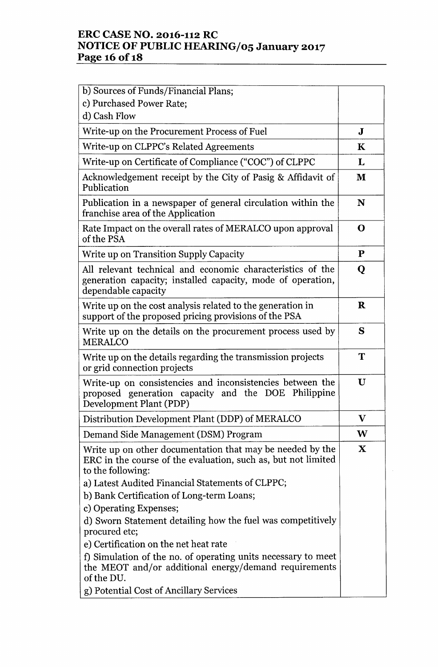## **ERC CASE NO. 2016-112 RC NOTICE OF PUBLIC HEARING/05 January 2017 Page 16 Of1S**

| b) Sources of Funds/Financial Plans;                                                                                                             |             |
|--------------------------------------------------------------------------------------------------------------------------------------------------|-------------|
| c) Purchased Power Rate;                                                                                                                         |             |
| d) Cash Flow                                                                                                                                     |             |
| Write-up on the Procurement Process of Fuel                                                                                                      | J           |
| Write-up on CLPPC's Related Agreements                                                                                                           | $\bf K$     |
| Write-up on Certificate of Compliance ("COC") of CLPPC                                                                                           | L           |
| Acknowledgement receipt by the City of Pasig & Affidavit of<br>Publication                                                                       | M           |
| Publication in a newspaper of general circulation within the<br>franchise area of the Application                                                | N           |
| Rate Impact on the overall rates of MERALCO upon approval<br>of the PSA                                                                          | O           |
| Write up on Transition Supply Capacity                                                                                                           | P           |
| All relevant technical and economic characteristics of the<br>generation capacity; installed capacity, mode of operation,<br>dependable capacity | Q           |
| Write up on the cost analysis related to the generation in<br>support of the proposed pricing provisions of the PSA                              | $\bf R$     |
| Write up on the details on the procurement process used by<br><b>MERALCO</b>                                                                     | S           |
| Write up on the details regarding the transmission projects<br>or grid connection projects                                                       | T           |
| Write-up on consistencies and inconsistencies between the<br>proposed generation capacity and the DOE Philippine<br>Development Plant (PDP)      | $\mathbf U$ |
| Distribution Development Plant (DDP) of MERALCO                                                                                                  | $\mathbf V$ |
| Demand Side Management (DSM) Program                                                                                                             | W           |
| Write up on other documentation that may be needed by the<br>ERC in the course of the evaluation, such as, but not limited<br>to the following:  | $\mathbf X$ |
| a) Latest Audited Financial Statements of CLPPC;                                                                                                 |             |
| b) Bank Certification of Long-term Loans;                                                                                                        |             |
| c) Operating Expenses;                                                                                                                           |             |
| d) Sworn Statement detailing how the fuel was competitively<br>procured etc;                                                                     |             |
| e) Certification on the net heat rate                                                                                                            |             |
| f) Simulation of the no. of operating units necessary to meet<br>the MEOT and/or additional energy/demand requirements<br>of the DU.             |             |
| g) Potential Cost of Ancillary Services                                                                                                          |             |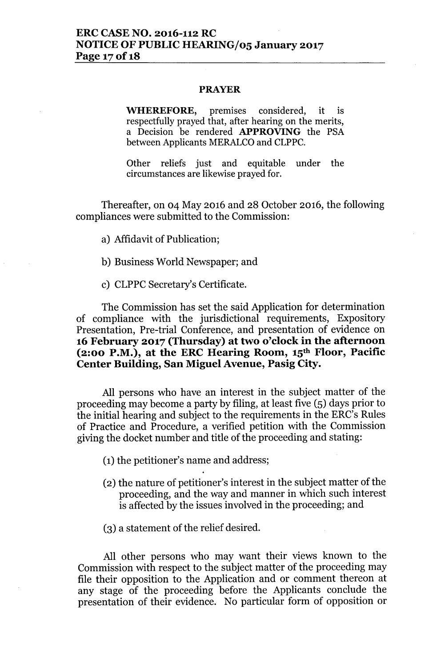### PRAYER

WHEREFORE, premises considered, it is respectfully prayed that, after hearing on the merits, a Decision be rendered APPROVING the PSA between Applicants MERALCO and CLPPC.

Other reliefs just and equitable under the circumstances are likewise prayed for.

Thereafter, on 04 May 2016 and 28 October 2016, the following compliances were submitted to the Commission:

- a) Affidavit of Publication;
- b) Business World Newspaper; and
- c) CLPPC Secretary's Certificate.

The Commission has set the said Application for determination of compliance with the jurisdictional requirements, Expository Presentation, Pre-trial Conference, and presentation of evidence on 16 February 2017 (Thursday) at two o'clock in the afternoon (2:00 P.M.), at the ERC Hearing Room,  $15<sup>th</sup>$  Floor, Pacific Center Building, San Miguel Avenue, Pasig City.

All persons who have an interest in the subject matter of the proceeding may become a party by filing, at least five (5) days prior to the initial hearing and subject to the requirements in the ERC's Rules of Practice and Procedure, a verified petition with the Commission giving the docket number and title of the proceeding and stating:

(1) the petitioner's name and address;

- (2) the nature of petitioner's interest in the subject matter of the proceeding, and the way and manner in which such interest is affected by the issues involved in the proceeding; and
- $(3)$  a statement of the relief desired.

All other persons who may want their views known to the Commission with respect to the subject matter of the proceeding may file their opposition to the Application and or comment thereon at any stage of the proceeding before the Applicants conclude the presentation of their evidence. No particular form of opposition or